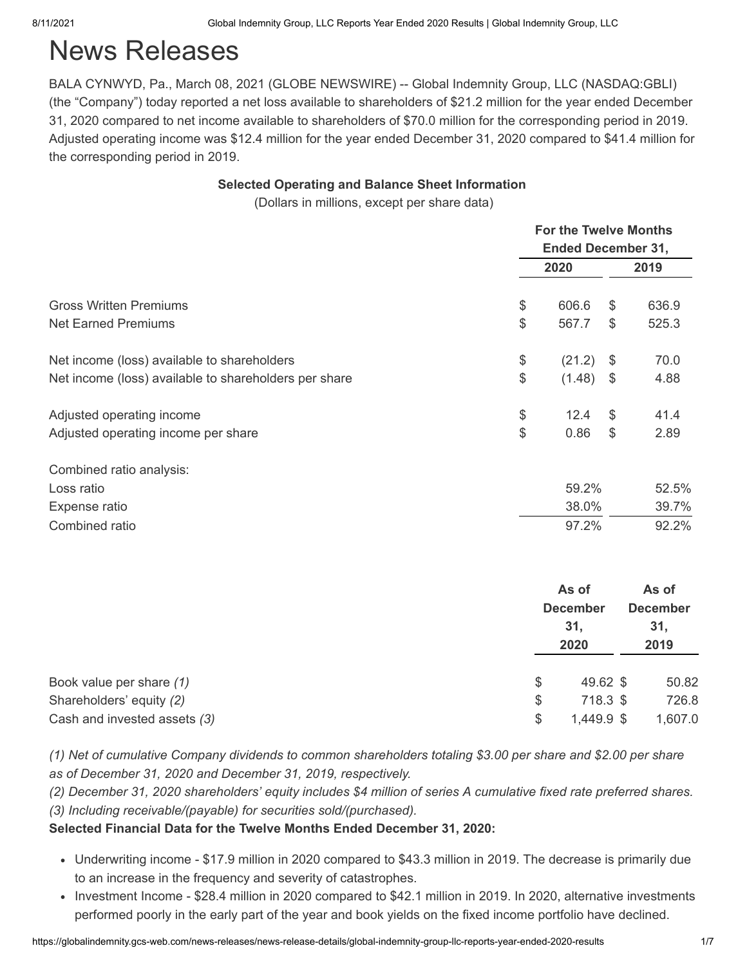# News Releases

BALA CYNWYD, Pa., March 08, 2021 (GLOBE NEWSWIRE) -- Global Indemnity Group, LLC (NASDAQ:GBLI) (the "Company") today reported a net loss available to shareholders of \$21.2 million for the year ended December 31, 2020 compared to net income available to shareholders of \$70.0 million for the corresponding period in 2019. Adjusted operating income was \$12.4 million for the year ended December 31, 2020 compared to \$41.4 million for the corresponding period in 2019.

#### **Selected Operating and Balance Sheet Information**

(Dollars in millions, except per share data)

|                                                       |       | <b>For the Twelve Months</b> |               |                 |  |  |  |
|-------------------------------------------------------|-------|------------------------------|---------------|-----------------|--|--|--|
|                                                       |       | <b>Ended December 31,</b>    |               |                 |  |  |  |
|                                                       |       | 2020                         |               | 2019            |  |  |  |
| <b>Gross Written Premiums</b>                         | $\$\$ | 606.6                        | \$            | 636.9           |  |  |  |
| <b>Net Earned Premiums</b>                            | \$    | 567.7                        | \$            | 525.3           |  |  |  |
| Net income (loss) available to shareholders           | \$    | (21.2)                       | $\frac{1}{2}$ | 70.0            |  |  |  |
| Net income (loss) available to shareholders per share | \$    | (1.48)                       | $\frac{1}{2}$ | 4.88            |  |  |  |
| Adjusted operating income                             | \$    | 12.4                         | \$            | 41.4            |  |  |  |
| Adjusted operating income per share                   | \$    | 0.86                         | \$            | 2.89            |  |  |  |
| Combined ratio analysis:                              |       |                              |               |                 |  |  |  |
| Loss ratio                                            |       | 59.2%                        |               | 52.5%           |  |  |  |
| Expense ratio                                         |       | 38.0%                        |               | 39.7%           |  |  |  |
| Combined ratio                                        |       | 97.2%                        |               | 92.2%           |  |  |  |
|                                                       |       | As of                        |               | As of           |  |  |  |
|                                                       |       | <b>December</b>              |               | <b>December</b> |  |  |  |
|                                                       |       | 31,                          |               | 31,             |  |  |  |
|                                                       |       | 2020                         |               | 2019            |  |  |  |
| Book value per share (1)                              |       | 49.62 \$<br>\$               |               | 50.82           |  |  |  |
| Shareholders' equity (2)                              |       | \$<br>718.3 \$               |               | 726.8           |  |  |  |
| Cash and invested assets (3)                          |       | \$<br>1,449.9 \$             |               | 1,607.0         |  |  |  |

*(1) Net of cumulative Company dividends to common shareholders totaling \$3.00 per share and \$2.00 per share as of December 31, 2020 and December 31, 2019, respectively.*

*(2) December 31, 2020 shareholders' equity includes \$4 million of series A cumulative fixed rate preferred shares. (3) Including receivable/(payable) for securities sold/(purchased).*

### **Selected Financial Data for the Twelve Months Ended December 31, 2020:**

- Underwriting income \$17.9 million in 2020 compared to \$43.3 million in 2019. The decrease is primarily due to an increase in the frequency and severity of catastrophes.
- Investment Income \$28.4 million in 2020 compared to \$42.1 million in 2019. In 2020, alternative investments performed poorly in the early part of the year and book yields on the fixed income portfolio have declined.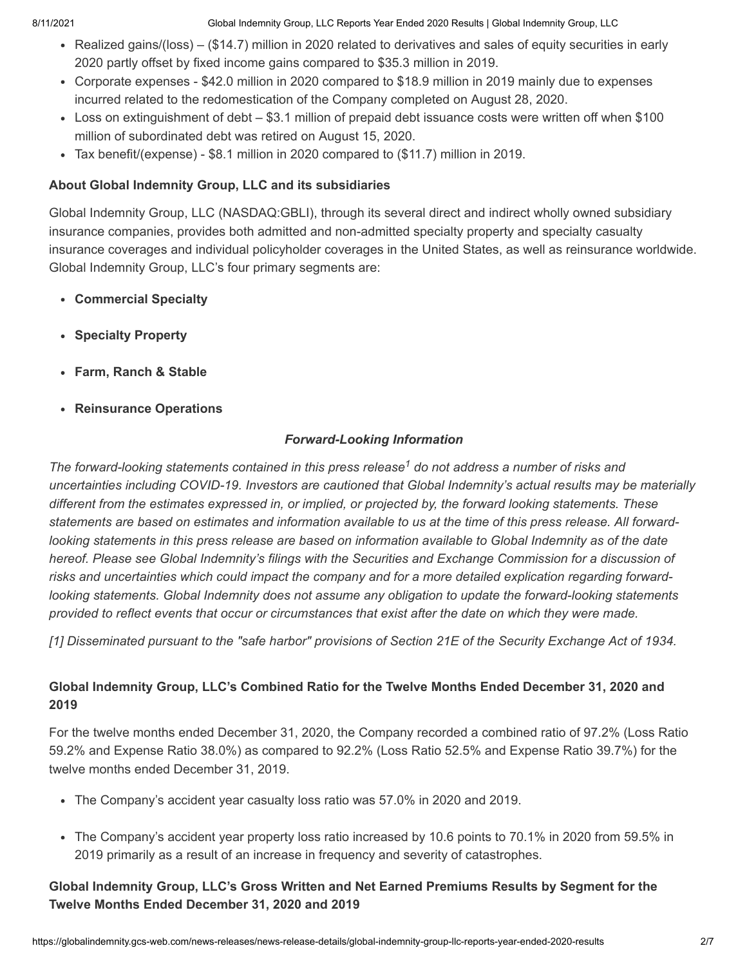8/11/2021 Global Indemnity Group, LLC Reports Year Ended 2020 Results | Global Indemnity Group, LLC

- Realized gains/(loss) (\$14.7) million in 2020 related to derivatives and sales of equity securities in early 2020 partly offset by fixed income gains compared to \$35.3 million in 2019.
- Corporate expenses \$42.0 million in 2020 compared to \$18.9 million in 2019 mainly due to expenses incurred related to the redomestication of the Company completed on August 28, 2020.
- Loss on extinguishment of debt \$3.1 million of prepaid debt issuance costs were written off when \$100 million of subordinated debt was retired on August 15, 2020.
- Tax benefit/(expense) \$8.1 million in 2020 compared to (\$11.7) million in 2019.

## **About Global Indemnity Group, LLC and its subsidiaries**

Global Indemnity Group, LLC (NASDAQ:GBLI), through its several direct and indirect wholly owned subsidiary insurance companies, provides both admitted and non-admitted specialty property and specialty casualty insurance coverages and individual policyholder coverages in the United States, as well as reinsurance worldwide. Global Indemnity Group, LLC's four primary segments are:

- **Commercial Specialty**
- **Specialty Property**
- **Farm, Ranch & Stable**
- **Reinsurance Operations**

# *Forward-Looking Information*

The forward-looking statements contained in this press release<sup>1</sup> do not address a number of risks and *uncertainties including COVID-19. Investors are cautioned that Global Indemnity's actual results may be materially different from the estimates expressed in, or implied, or projected by, the forward looking statements. These statements are based on estimates and information available to us at the time of this press release. All forwardlooking statements in this press release are based on information available to Global Indemnity as of the date hereof. Please see Global Indemnity's filings with the Securities and Exchange Commission for a discussion of risks and uncertainties which could impact the company and for a more detailed explication regarding forwardlooking statements. Global Indemnity does not assume any obligation to update the forward-looking statements provided to reflect events that occur or circumstances that exist after the date on which they were made.* 

*[1] Disseminated pursuant to the "safe harbor" provisions of Section 21E of the Security Exchange Act of 1934.*

# **Global Indemnity Group, LLC's Combined Ratio for the Twelve Months Ended December 31, 2020 and 2019**

For the twelve months ended December 31, 2020, the Company recorded a combined ratio of 97.2% (Loss Ratio 59.2% and Expense Ratio 38.0%) as compared to 92.2% (Loss Ratio 52.5% and Expense Ratio 39.7%) for the twelve months ended December 31, 2019.

- The Company's accident year casualty loss ratio was 57.0% in 2020 and 2019.
- The Company's accident year property loss ratio increased by 10.6 points to 70.1% in 2020 from 59.5% in 2019 primarily as a result of an increase in frequency and severity of catastrophes.

# **Global Indemnity Group, LLC's Gross Written and Net Earned Premiums Results by Segment for the Twelve Months Ended December 31, 2020 and 2019**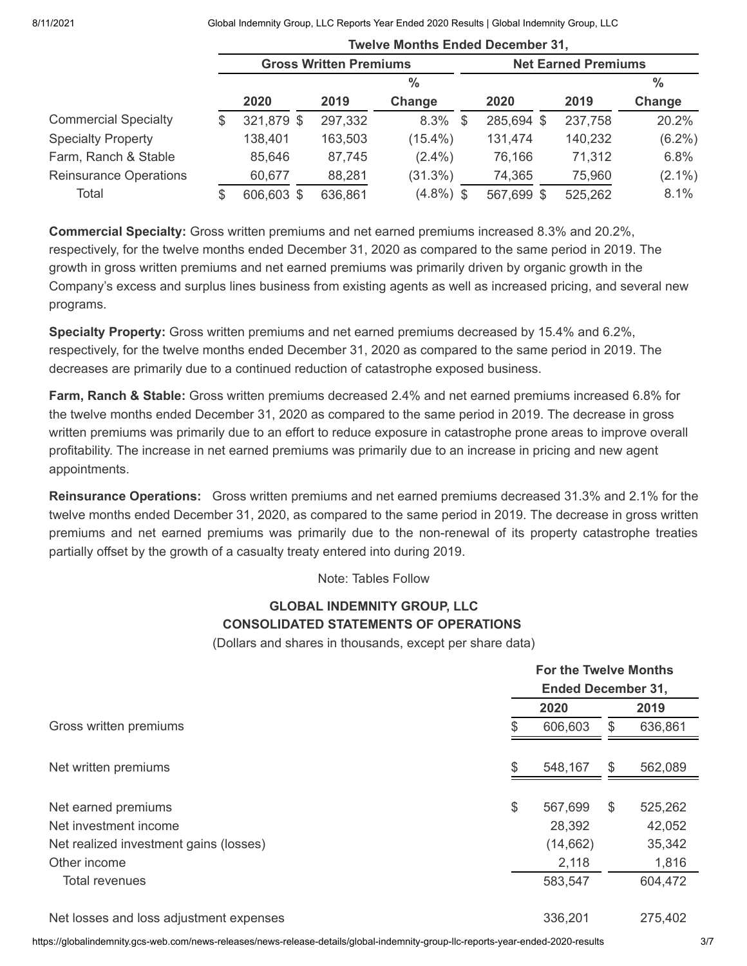8/11/2021 Global Indemnity Group, LLC Reports Year Ended 2020 Results | Global Indemnity Group, LLC

|                               | <b>Twelve Months Ended December 31,</b> |                               |         |                            |            |         |               |
|-------------------------------|-----------------------------------------|-------------------------------|---------|----------------------------|------------|---------|---------------|
|                               |                                         | <b>Gross Written Premiums</b> |         | <b>Net Earned Premiums</b> |            |         |               |
|                               |                                         |                               |         | $\%$                       |            |         | $\frac{0}{0}$ |
|                               |                                         | 2020                          | 2019    | Change                     | 2020       | 2019    | Change        |
| <b>Commercial Specialty</b>   | S.                                      | 321,879 \$                    | 297,332 | $8.3\%$ \$                 | 285,694 \$ | 237,758 | 20.2%         |
| <b>Specialty Property</b>     |                                         | 138,401                       | 163,503 | $(15.4\%)$                 | 131,474    | 140,232 | $(6.2\%)$     |
| Farm, Ranch & Stable          |                                         | 85,646                        | 87,745  | $(2.4\%)$                  | 76,166     | 71,312  | 6.8%          |
| <b>Reinsurance Operations</b> |                                         | 60,677                        | 88,281  | (31.3%)                    | 74,365     | 75,960  | $(2.1\%)$     |
| Total                         | S                                       | 606,603 \$                    | 636,861 | $(4.8\%)$ \$               | 567,699 \$ | 525,262 | 8.1%          |

**Commercial Specialty:** Gross written premiums and net earned premiums increased 8.3% and 20.2%, respectively, for the twelve months ended December 31, 2020 as compared to the same period in 2019. The growth in gross written premiums and net earned premiums was primarily driven by organic growth in the Company's excess and surplus lines business from existing agents as well as increased pricing, and several new programs.

**Specialty Property:** Gross written premiums and net earned premiums decreased by 15.4% and 6.2%, respectively, for the twelve months ended December 31, 2020 as compared to the same period in 2019. The decreases are primarily due to a continued reduction of catastrophe exposed business.

**Farm, Ranch & Stable:** Gross written premiums decreased 2.4% and net earned premiums increased 6.8% for the twelve months ended December 31, 2020 as compared to the same period in 2019. The decrease in gross written premiums was primarily due to an effort to reduce exposure in catastrophe prone areas to improve overall profitability. The increase in net earned premiums was primarily due to an increase in pricing and new agent appointments.

**Reinsurance Operations:** Gross written premiums and net earned premiums decreased 31.3% and 2.1% for the twelve months ended December 31, 2020, as compared to the same period in 2019. The decrease in gross written premiums and net earned premiums was primarily due to the non-renewal of its property catastrophe treaties partially offset by the growth of a casualty treaty entered into during 2019.

Note: Tables Follow

## **GLOBAL INDEMNITY GROUP, LLC CONSOLIDATED STATEMENTS OF OPERATIONS**

(Dollars and shares in thousands, except per share data)

|                                         | <b>For the Twelve Months</b><br><b>Ended December 31,</b> |    |         |  |
|-----------------------------------------|-----------------------------------------------------------|----|---------|--|
|                                         | 2020                                                      |    | 2019    |  |
| Gross written premiums                  | 606,603                                                   | \$ | 636,861 |  |
| Net written premiums                    | \$<br>548,167                                             | \$ | 562,089 |  |
|                                         |                                                           |    |         |  |
| Net earned premiums                     | \$<br>567,699                                             | \$ | 525,262 |  |
| Net investment income                   | 28,392                                                    |    | 42,052  |  |
| Net realized investment gains (losses)  | (14, 662)                                                 |    | 35,342  |  |
| Other income                            | 2,118                                                     |    | 1,816   |  |
| Total revenues                          | 583,547                                                   |    | 604,472 |  |
| Net losses and loss adjustment expenses | 336,201                                                   |    | 275,402 |  |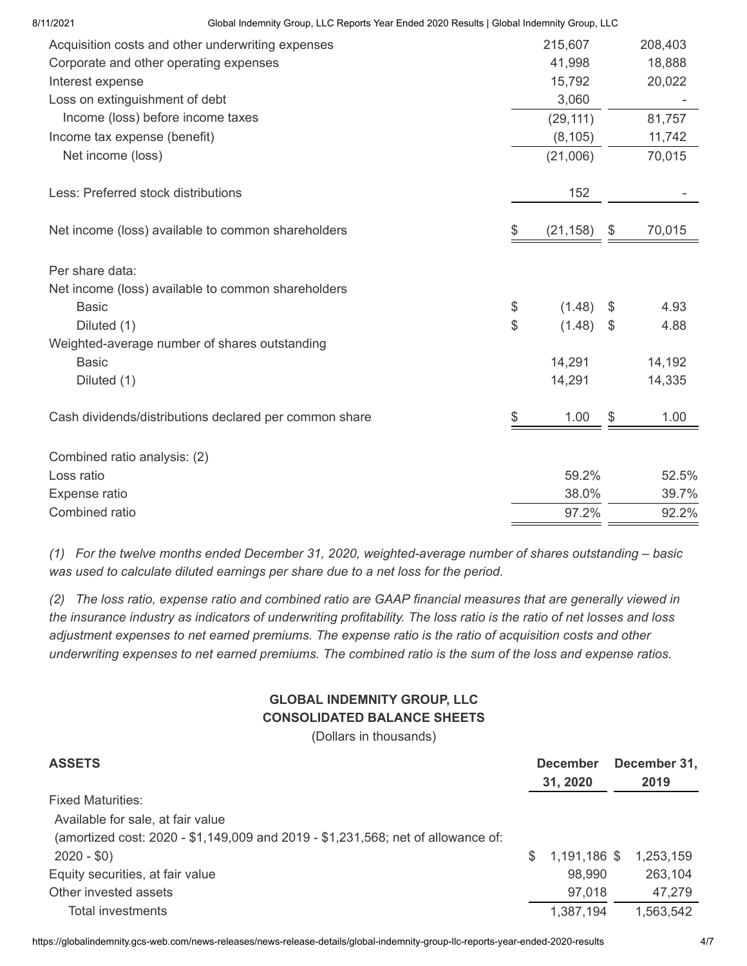| 8/11/2021                    | Global Indemnity Group, LLC Reports Year Ended 2020 Results   Global Indemnity Group, LLC |              |               |         |
|------------------------------|-------------------------------------------------------------------------------------------|--------------|---------------|---------|
|                              | Acquisition costs and other underwriting expenses                                         | 215,607      |               | 208,403 |
|                              | Corporate and other operating expenses                                                    | 41,998       |               | 18,888  |
| Interest expense             |                                                                                           | 15,792       |               | 20,022  |
|                              | Loss on extinguishment of debt                                                            | 3,060        |               |         |
|                              | Income (loss) before income taxes                                                         | (29, 111)    |               | 81,757  |
| Income tax expense (benefit) |                                                                                           | (8, 105)     |               | 11,742  |
| Net income (loss)            |                                                                                           | (21,006)     |               | 70,015  |
|                              | Less: Preferred stock distributions                                                       | 152          |               |         |
|                              | Net income (loss) available to common shareholders                                        | (21, 158)    | \$            | 70,015  |
| Per share data:              |                                                                                           |              |               |         |
|                              | Net income (loss) available to common shareholders                                        |              |               |         |
| <b>Basic</b>                 |                                                                                           | \$<br>(1.48) | $\frac{1}{2}$ | 4.93    |
| Diluted (1)                  |                                                                                           | \$<br>(1.48) | \$            | 4.88    |
|                              | Weighted-average number of shares outstanding                                             |              |               |         |
| <b>Basic</b>                 |                                                                                           | 14,291       |               | 14,192  |
| Diluted (1)                  |                                                                                           | 14,291       |               | 14,335  |
|                              | Cash dividends/distributions declared per common share                                    | \$<br>1.00   | \$            | 1.00    |
| Combined ratio analysis: (2) |                                                                                           |              |               |         |
| Loss ratio                   |                                                                                           | 59.2%        |               | 52.5%   |
| Expense ratio                |                                                                                           | 38.0%        |               | 39.7%   |
| Combined ratio               |                                                                                           | 97.2%        |               | 92.2%   |
|                              |                                                                                           |              |               |         |

*(1) For the twelve months ended December 31, 2020, weighted-average number of shares outstanding – basic was used to calculate diluted earnings per share due to a net loss for the period.*

*(2) The loss ratio, expense ratio and combined ratio are GAAP financial measures that are generally viewed in the insurance industry as indicators of underwriting profitability. The loss ratio is the ratio of net losses and loss adjustment expenses to net earned premiums. The expense ratio is the ratio of acquisition costs and other underwriting expenses to net earned premiums. The combined ratio is the sum of the loss and expense ratios.*

# **GLOBAL INDEMNITY GROUP, LLC CONSOLIDATED BALANCE SHEETS**

(Dollars in thousands)

| <b>ASSETS</b>                                                                    | <b>December</b><br>31, 2020 |              | December 31,<br>2019 |  |
|----------------------------------------------------------------------------------|-----------------------------|--------------|----------------------|--|
| <b>Fixed Maturities:</b>                                                         |                             |              |                      |  |
| Available for sale, at fair value                                                |                             |              |                      |  |
| (amortized cost: 2020 - \$1,149,009 and 2019 - \$1,231,568; net of allowance of: |                             |              |                      |  |
| $2020 - $0)$                                                                     | \$.                         | 1,191,186 \$ | 1,253,159            |  |
| Equity securities, at fair value                                                 |                             | 98,990       | 263,104              |  |
| Other invested assets                                                            |                             | 97,018       | 47,279               |  |
| Total investments                                                                |                             | 1,387,194    | 1,563,542            |  |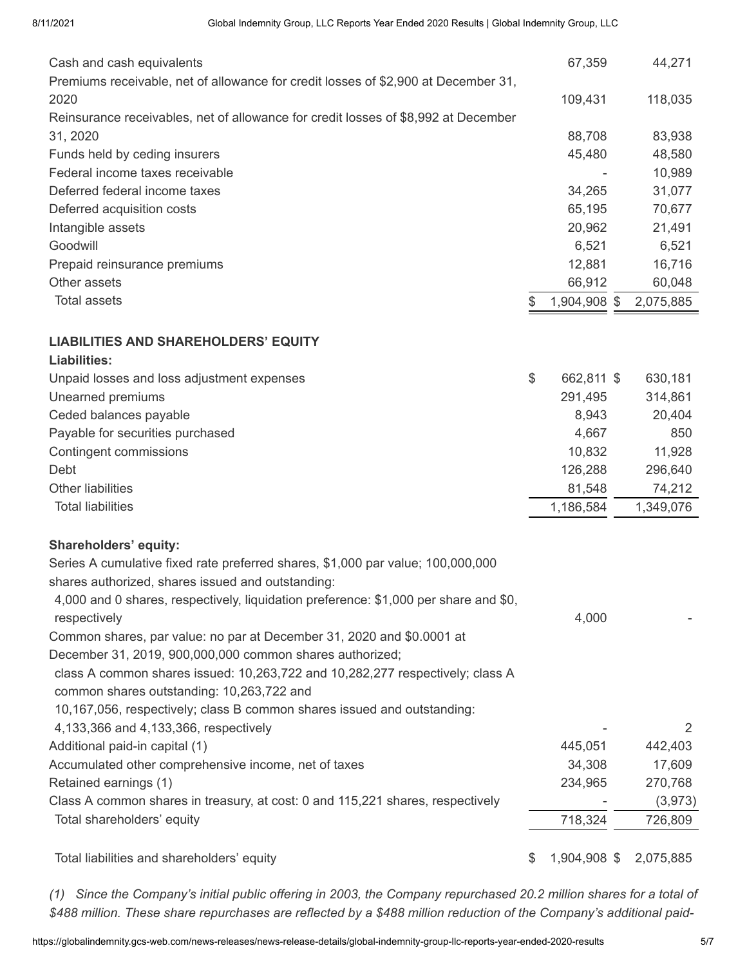| Cash and cash equivalents                                                            |    | 67,359       | 44,271    |
|--------------------------------------------------------------------------------------|----|--------------|-----------|
| Premiums receivable, net of allowance for credit losses of \$2,900 at December 31,   |    |              |           |
| 2020                                                                                 |    | 109,431      | 118,035   |
| Reinsurance receivables, net of allowance for credit losses of \$8,992 at December   |    |              |           |
| 31, 2020                                                                             |    | 88,708       | 83,938    |
| Funds held by ceding insurers                                                        |    | 45,480       | 48,580    |
| Federal income taxes receivable                                                      |    |              | 10,989    |
| Deferred federal income taxes                                                        |    | 34,265       | 31,077    |
| Deferred acquisition costs                                                           |    | 65,195       | 70,677    |
| Intangible assets                                                                    |    | 20,962       | 21,491    |
| Goodwill                                                                             |    | 6,521        | 6,521     |
| Prepaid reinsurance premiums                                                         |    | 12,881       | 16,716    |
| Other assets                                                                         |    | 66,912       | 60,048    |
| <b>Total assets</b>                                                                  | S. | 1,904,908 \$ | 2,075,885 |
| <b>LIABILITIES AND SHAREHOLDERS' EQUITY</b>                                          |    |              |           |
| <b>Liabilities:</b>                                                                  |    |              |           |
| Unpaid losses and loss adjustment expenses                                           | \$ | 662,811 \$   | 630,181   |
| Unearned premiums                                                                    |    | 291,495      | 314,861   |
| Ceded balances payable                                                               |    | 8,943        | 20,404    |
| Payable for securities purchased                                                     |    | 4,667        | 850       |
| <b>Contingent commissions</b>                                                        |    | 10,832       | 11,928    |
| Debt                                                                                 |    | 126,288      | 296,640   |
| <b>Other liabilities</b>                                                             |    | 81,548       | 74,212    |
| <b>Total liabilities</b>                                                             |    | 1,186,584    | 1,349,076 |
|                                                                                      |    |              |           |
| <b>Shareholders' equity:</b>                                                         |    |              |           |
| Series A cumulative fixed rate preferred shares, \$1,000 par value; 100,000,000      |    |              |           |
| shares authorized, shares issued and outstanding:                                    |    |              |           |
| 4,000 and 0 shares, respectively, liquidation preference: \$1,000 per share and \$0, |    |              |           |
| respectively                                                                         |    | 4,000        |           |
| Common shares, par value: no par at December 31, 2020 and \$0.0001 at                |    |              |           |
| December 31, 2019, 900,000,000 common shares authorized;                             |    |              |           |
| class A common shares issued: 10,263,722 and 10,282,277 respectively; class A        |    |              |           |
| common shares outstanding: 10,263,722 and                                            |    |              |           |
| 10,167,056, respectively; class B common shares issued and outstanding:              |    |              |           |
| 4,133,366 and 4,133,366, respectively                                                |    |              | 2         |
| Additional paid-in capital (1)                                                       |    | 445,051      | 442,403   |
| Accumulated other comprehensive income, net of taxes                                 |    | 34,308       | 17,609    |
| Retained earnings (1)                                                                |    | 234,965      | 270,768   |
| Class A common shares in treasury, at cost: 0 and 115,221 shares, respectively       |    |              | (3,973)   |
| Total shareholders' equity                                                           |    | 718,324      | 726,809   |
|                                                                                      |    |              |           |
| Total liabilities and shareholders' equity                                           | S. | 1,904,908 \$ | 2,075,885 |

*(1) Since the Company's initial public offering in 2003, the Company repurchased 20.2 million shares for a total of \$488 million. These share repurchases are reflected by a \$488 million reduction of the Company's additional paid-*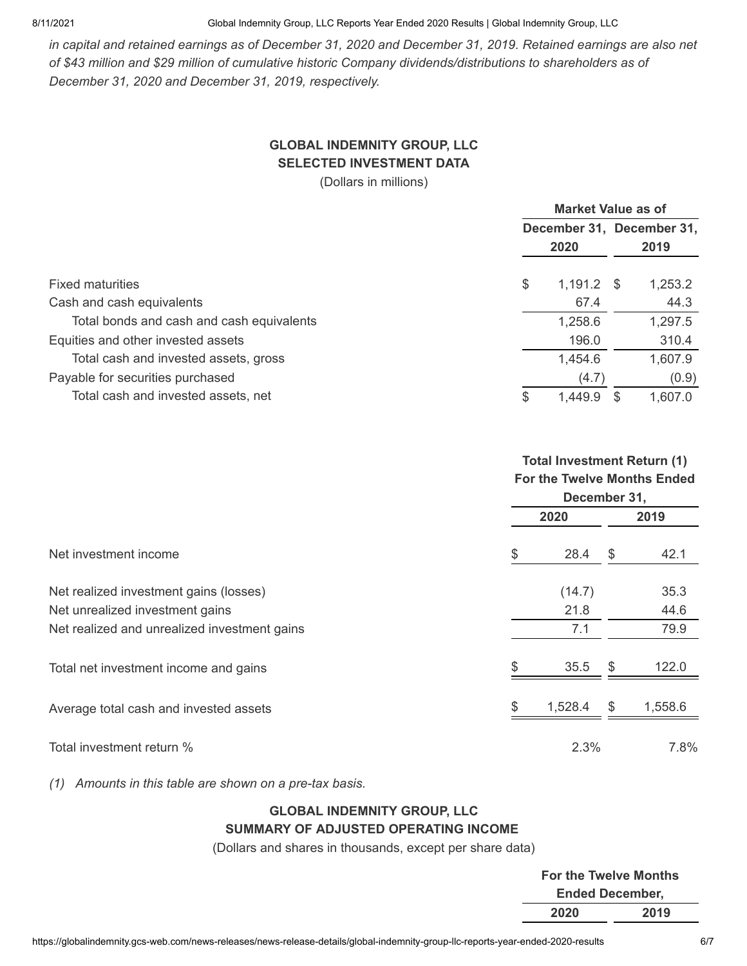8/11/2021 Global Indemnity Group, LLC Reports Year Ended 2020 Results | Global Indemnity Group, LLC

*in capital and retained earnings as of December 31, 2020 and December 31, 2019. Retained earnings are also net of \$43 million and \$29 million of cumulative historic Company dividends/distributions to shareholders as of December 31, 2020 and December 31, 2019, respectively.*

# **GLOBAL INDEMNITY GROUP, LLC SELECTED INVESTMENT DATA**

(Dollars in millions)

|                                           | <b>Market Value as of</b> |              |  |         |  |
|-------------------------------------------|---------------------------|--------------|--|---------|--|
|                                           | December 31, December 31, |              |  |         |  |
|                                           |                           | 2020         |  | 2019    |  |
| <b>Fixed maturities</b>                   | \$                        | $1,191.2$ \$ |  | 1,253.2 |  |
| Cash and cash equivalents                 |                           | 67.4         |  | 44.3    |  |
| Total bonds and cash and cash equivalents |                           | 1,258.6      |  | 1,297.5 |  |
| Equities and other invested assets        |                           | 196.0        |  | 310.4   |  |
| Total cash and invested assets, gross     |                           | 1,454.6      |  | 1,607.9 |  |
| Payable for securities purchased          |                           | (4.7)        |  | (0.9)   |  |
| Total cash and invested assets, net       | \$.                       | 1,449.9      |  | 1,607.0 |  |

#### **Total Investment Return (1) For the Twelve Months Ended December 31,**

|                                              | PUULIINUI VII |    |         |  |  |
|----------------------------------------------|---------------|----|---------|--|--|
|                                              | 2020          |    | 2019    |  |  |
| Net investment income                        | \$<br>28.4    | \$ | 42.1    |  |  |
| Net realized investment gains (losses)       | (14.7)        |    | 35.3    |  |  |
| Net unrealized investment gains              | 21.8          |    | 44.6    |  |  |
| Net realized and unrealized investment gains | 7.1           |    | 79.9    |  |  |
| Total net investment income and gains        | 35.5          | \$ | 122.0   |  |  |
| Average total cash and invested assets       | 1,528.4       | \$ | 1,558.6 |  |  |
| Total investment return %                    | 2.3%          |    | 7.8%    |  |  |

*(1) Amounts in this table are shown on a pre-tax basis.*

# **GLOBAL INDEMNITY GROUP, LLC SUMMARY OF ADJUSTED OPERATING INCOME**

(Dollars and shares in thousands, except per share data)

| <b>For the Twelve Months</b> |      |  |
|------------------------------|------|--|
| <b>Ended December,</b>       |      |  |
| 2020                         | 2019 |  |
|                              |      |  |